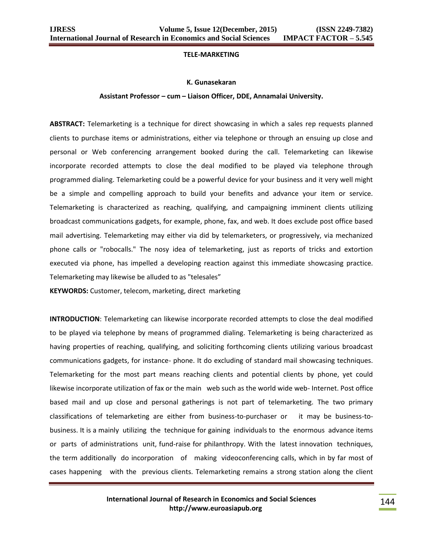### **TELE-MARKETING**

### **K. Gunasekaran**

### **Assistant Professor – cum – Liaison Officer, DDE, Annamalai University.**

**ABSTRACT:** Telemarketing is a technique for direct showcasing in which a sales rep requests planned clients to purchase items or administrations, either via telephone or through an ensuing up close and personal or Web conferencing arrangement booked during the call. Telemarketing can likewise incorporate recorded attempts to close the deal modified to be played via telephone through programmed dialing. Telemarketing could be a powerful device for your business and it very well might be a simple and compelling approach to build your benefits and advance your item or service. Telemarketing is characterized as reaching, qualifying, and campaigning imminent clients utilizing broadcast communications gadgets, for example, phone, fax, and web. It does exclude post office based mail advertising. Telemarketing may either via did by telemarketers, or progressively, via mechanized phone calls or "robocalls." The nosy idea of telemarketing, just as reports of tricks and extortion executed via phone, has impelled a developing reaction against this immediate showcasing practice. Telemarketing may likewise be alluded to as "telesales"

**KEYWORDS:** Customer, telecom, marketing, direct marketing

**INTRODUCTION**: Telemarketing can likewise incorporate recorded attempts to close the deal modified to be played via telephone by means of programmed dialing. Telemarketing is being characterized as having properties of reaching, qualifying, and soliciting forthcoming clients utilizing various broadcast communications gadgets, for instance- phone. It do excluding of standard mail showcasing techniques. Telemarketing for the most part means reaching clients and potential clients by phone, yet could likewise incorporate utilization of fax or the main web such as the world wide web- Internet. Post office based mail and up close and personal gatherings is not part of telemarketing. The two primary classifications of telemarketing are either from business-to-purchaser or it may be business-tobusiness. It is a mainly utilizing the technique for gaining individuals to the enormous advance items or parts of administrations unit, fund-raise for philanthropy. With the latest innovation techniques, the term additionally do incorporation of making videoconferencing calls, which in by far most of cases happening with the previous clients. Telemarketing remains a strong station along the client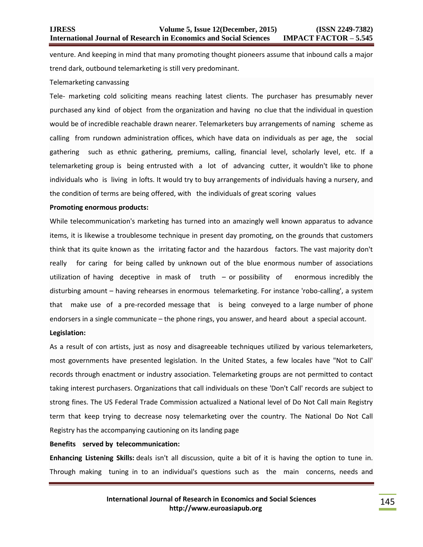venture. And keeping in mind that many promoting thought pioneers assume that inbound calls a major trend dark, outbound telemarketing is still very predominant.

### Telemarketing canvassing

Tele- marketing cold soliciting means reaching latest clients. The purchaser has presumably never purchased any kind of object from the organization and having no clue that the individual in question would be of incredible reachable drawn nearer. Telemarketers buy arrangements of naming scheme as calling from rundown administration offices, which have data on individuals as per age, the social gathering such as ethnic gathering, premiums, calling, financial level, scholarly level, etc. If a telemarketing group is being entrusted with a lot of advancing cutter, it wouldn't like to phone individuals who is living in lofts. It would try to buy arrangements of individuals having a nursery, and the condition of terms are being offered, with the individuals of great scoring values

### **Promoting enormous products:**

While telecommunication's marketing has turned into an amazingly well known apparatus to advance items, it is likewise a troublesome technique in present day promoting, on the grounds that customers think that its quite known as the irritating factor and the hazardous factors. The vast majority don't really for caring for being called by unknown out of the blue enormous number of associations utilization of having deceptive in mask of truth – or possibility of enormous incredibly the disturbing amount – having rehearses in enormous telemarketing. For instance 'robo-calling', a system that make use of a pre-recorded message that is being conveyed to a large number of phone endorsers in a single communicate – the phone rings, you answer, and heard about a special account.

### **Legislation:**

As a result of con artists, just as nosy and disagreeable techniques utilized by various telemarketers, most governments have presented legislation. In the United States, a few locales have "Not to Call' records through enactment or industry association. Telemarketing groups are not permitted to contact taking interest purchasers. Organizations that call individuals on these 'Don't Call' records are subject to strong fines. The US Federal Trade Commission actualized a National level of Do Not Call main Registry term that keep trying to decrease nosy telemarketing over the country. The National Do Not Call Registry has the accompanying cautioning on its landing page

# **Benefits served by telecommunication:**

**Enhancing Listening Skills:** deals isn't all discussion, quite a bit of it is having the option to tune in. Through making tuning in to an individual's questions such as the main concerns, needs and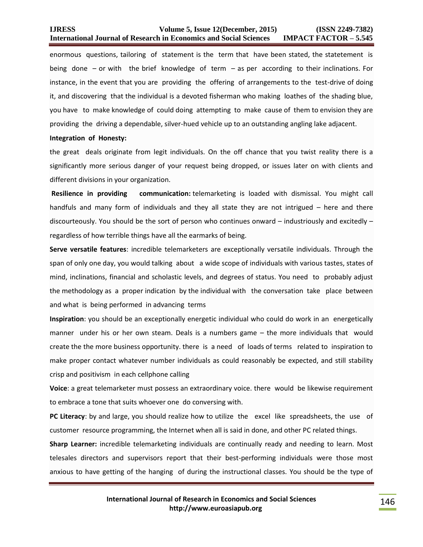enormous questions, tailoring of statement is the term that have been stated, the statetement is being done – or with the brief knowledge of term – as per according to their inclinations. For instance, in the event that you are providing the offering of arrangements to the test-drive of doing it, and discovering that the individual is a devoted fisherman who making loathes of the shading blue, you have to make knowledge of could doing attempting to make cause of them to envision they are providing the driving a dependable, silver-hued vehicle up to an outstanding angling lake adjacent.

### **Integration of Honesty:**

the great deals originate from legit individuals. On the off chance that you twist reality there is a significantly more serious danger of your request being dropped, or issues later on with clients and different divisions in your organization.

**Resilience in providing communication:** telemarketing is loaded with dismissal. You might call handfuls and many form of individuals and they all state they are not intrigued – here and there discourteously. You should be the sort of person who continues onward – industriously and excitedly – regardless of how terrible things have all the earmarks of being.

**Serve versatile features**: incredible telemarketers are exceptionally versatile individuals. Through the span of only one day, you would talking about a wide scope of individuals with various tastes, states of mind, inclinations, financial and scholastic levels, and degrees of status. You need to probably adjust the methodology as a proper indication by the individual with the conversation take place between and what is being performed in advancing terms

**Inspiration**: you should be an exceptionally energetic individual who could do work in an energetically manner under his or her own steam. Deals is a numbers game – the more individuals that would create the the more business opportunity. there is a need of loads of terms related to inspiration to make proper contact whatever number individuals as could reasonably be expected, and still stability crisp and positivism in each cellphone calling

**Voice**: a great telemarketer must possess an extraordinary voice. there would be likewise requirement to embrace a tone that suits whoever one do conversing with.

**PC Literacy**: by and large, you should realize how to utilize the excel like spreadsheets, the use of customer resource programming, the Internet when all is said in done, and other PC related things.

**Sharp Learner:** incredible telemarketing individuals are continually ready and needing to learn. Most telesales directors and supervisors report that their best-performing individuals were those most anxious to have getting of the hanging of during the instructional classes. You should be the type of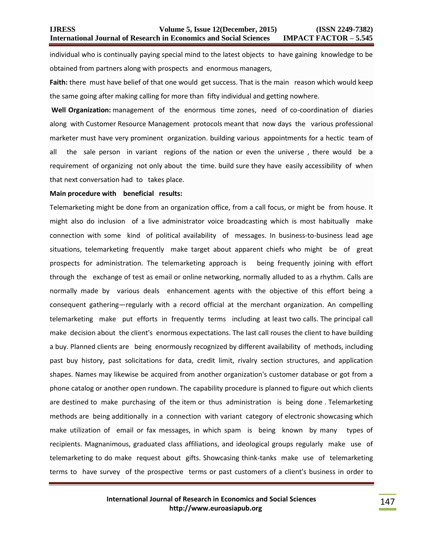individual who is continually paying special mind to the latest objects to have gaining knowledge to be obtained from partners along with prospects and enormous managers,

**Faith:** there must have belief of that one would get success. That is the main reason which would keep the same going after making calling for more than fifty individual and getting nowhere.

**Well Organization:** management of the enormous time zones, need of co-coordination of diaries along with Customer Resource Management protocols meant that now days the various professional marketer must have very prominent organization. building various appointments for a hectic team of all the sale person in variant regions of the nation or even the universe , there would be a requirement of organizing not only about the time. build sure they have easily accessibility of when that next conversation had to takes place.

### **Main procedure with beneficial results:**

Telemarketing might be done from an organization office, from a call focus, or might be from house. It might also do inclusion of a live administrator voice broadcasting which is most habitually make connection with some kind of political availability of messages. In business-to-business lead age situations, telemarketing frequently make target about apparent chiefs who might be of great prospects for administration. The telemarketing approach is being frequently joining with effort through the exchange of test as email or online networking, normally alluded to as a rhythm. Calls are normally made by various deals enhancement agents with the objective of this effort being a consequent gathering—regularly with a record official at the merchant organization. An compelling telemarketing make put efforts in frequently terms including at least two calls. The principal call make decision about the client's enormous expectations. The last call rouses the client to have building a buy. Planned clients are being enormously recognized by different availability of methods, including past buy history, past solicitations for data, credit limit, rivalry section structures, and application shapes. Names may likewise be acquired from another organization's customer database or got from a phone catalog or another open rundown. The capability procedure is planned to figure out which clients are destined to make purchasing of the item or thus administration is being done . Telemarketing methods are being additionally in a connection with variant category of electronic showcasing which make utilization of email or fax messages, in which spam is being known by many types of recipients. Magnanimous, graduated class affiliations, and ideological groups regularly make use of telemarketing to do make request about gifts. Showcasing think-tanks make use of telemarketing terms to have survey of the prospective terms or past customers of a client's business in order to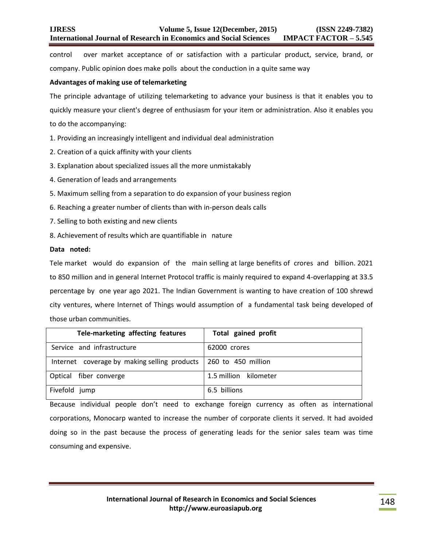control over market acceptance of or satisfaction with a particular product, service, brand, or company. [Public opinion does make polls](https://en.wikipedia.org/wiki/Public_opinion_poll) about the conduction in a quite same way

## **Advantages of making use of telemarketing**

The principle advantage of utilizing telemarketing to advance your business is that it enables you to quickly measure your client's degree of enthusiasm for your item or administration. Also it enables you to do the accompanying:

1. Providing an increasingly intelligent and individual deal administration

- 2. Creation of a quick affinity with your clients
- 3. Explanation about specialized issues all the more unmistakably
- 4. Generation of leads and arrangements
- 5. Maximum selling from a separation to do expansion of your business region
- 6. Reaching a greater number of clients than with in-person deals calls
- 7. Selling to both existing and new clients
- 8. Achievement of results which are quantifiable in nature

# **Data noted:**

Tele market would do expansion of the main selling at large benefits of crores and billion. 2021 to 850 million and in general Internet Protocol traffic is mainly required to expand 4-overlapping at 33.5 percentage by one year ago 2021. The Indian Government is wanting to have creation of 100 shrewd city ventures, where Internet of Things would assumption of a fundamental task being developed of those urban communities.

| Tele-marketing affecting features                                 | <b>Total gained profit</b> |
|-------------------------------------------------------------------|----------------------------|
| Service and infrastructure                                        | 62000 crores               |
| Internet coverage by making selling products   260 to 450 million |                            |
| Optical fiber converge                                            | 1.5 million kilometer      |
| Fivefold jump                                                     | 6.5 billions               |

Because individual people don't need to exchange foreign currency as often as international corporations, Monocarp wanted to increase the number of corporate clients it served. It had avoided doing so in the past because the process of generating leads for the senior sales team was time consuming and expensive.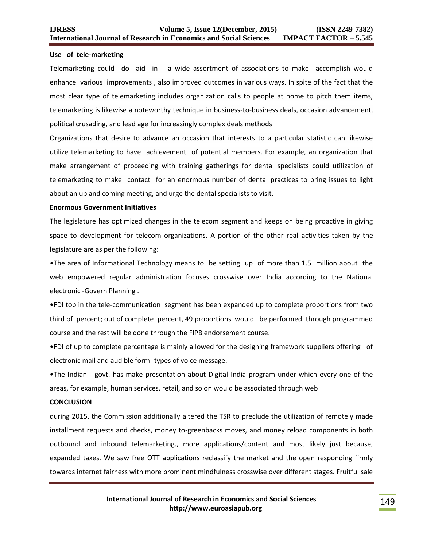### **Use of tele-marketing**

Telemarketing could do aid in a wide assortment of associations to make accomplish would enhance various improvements , also improved outcomes in various ways. In spite of the fact that the most clear type of telemarketing includes organization calls to people at home to pitch them items, telemarketing is likewise a noteworthy technique in business-to-business deals, occasion advancement, political crusading, and lead age for increasingly complex deals methods

Organizations that desire to advance an occasion that interests to a particular statistic can likewise utilize telemarketing to have achievement of potential members. For example, an organization that make arrangement of proceeding with training gatherings for dental specialists could utilization of telemarketing to make contact for an enormous number of dental practices to bring issues to light about an up and coming meeting, and urge the dental specialists to visit.

### **Enormous Government Initiatives**

The legislature has optimized changes in the telecom segment and keeps on being proactive in giving space to development for telecom organizations. A portion of the other real activities taken by the legislature are as per the following:

•The area of Informational Technology means to be setting up of more than 1.5 million about the web empowered regular administration focuses crosswise over India according to the National electronic -Govern Planning .

•FDI top in the tele-communication segment has been expanded up to complete proportions from two third of percent; out of complete percent, 49 proportions would be performed through programmed course and the rest will be done through the FIPB endorsement course.

•FDI of up to complete percentage is mainly allowed for the designing framework suppliers offering of electronic mail and audible form -types of voice message.

•The Indian govt. has make presentation about Digital India program under which every one of the areas, for example, human services, retail, and so on would be associated through web

## **CONCLUSION**

during 2015, the Commission additionally altered the TSR to preclude the utilization of remotely made installment requests and checks, money to-greenbacks moves, and money reload components in both outbound and inbound telemarketing., more applications/content and most likely just because, expanded taxes. We saw free OTT applications reclassify the market and the open responding firmly towards internet fairness with more prominent mindfulness crosswise over different stages. Fruitful sale